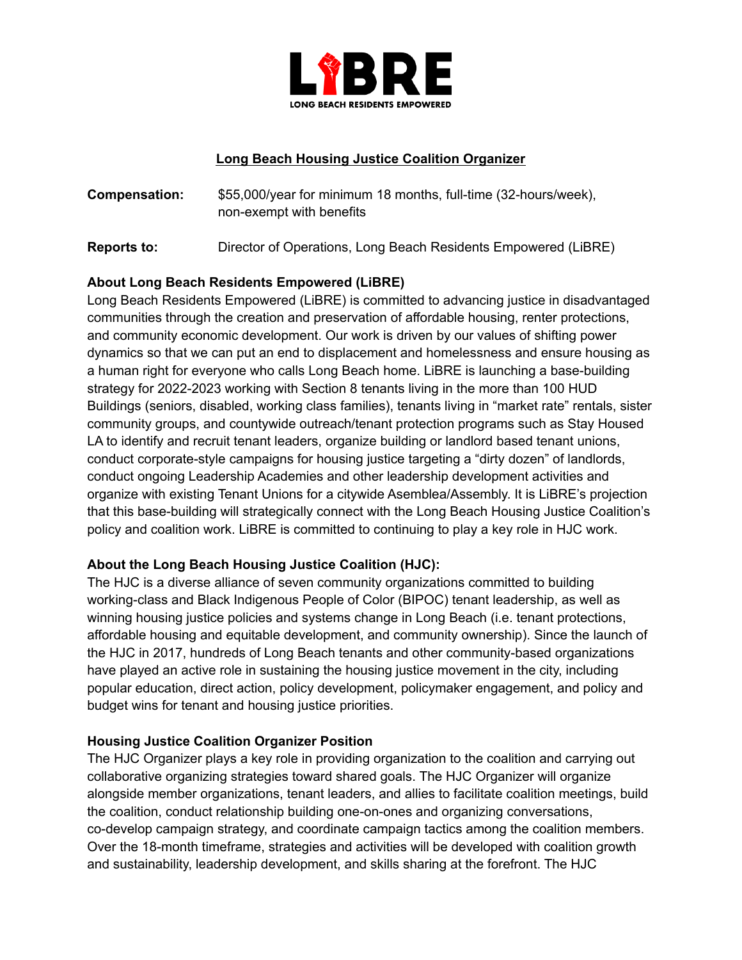

#### **Long Beach Housing Justice Coalition Organizer**

- **Compensation:** \$55,000/year for minimum 18 months, full-time (32-hours/week), non-exempt with benefits
- **Reports to:** Director of Operations, Long Beach Residents Empowered (LiBRE)

### **About Long Beach Residents Empowered (LiBRE)**

Long Beach Residents Empowered (LiBRE) is committed to advancing justice in disadvantaged communities through the creation and preservation of affordable housing, renter protections, and community economic development. Our work is driven by our values of shifting power dynamics so that we can put an end to displacement and homelessness and ensure housing as a human right for everyone who calls Long Beach home. LiBRE is launching a base-building strategy for 2022-2023 working with Section 8 tenants living in the more than 100 HUD Buildings (seniors, disabled, working class families), tenants living in "market rate" rentals, sister community groups, and countywide outreach/tenant protection programs such as Stay Housed LA to identify and recruit tenant leaders, organize building or landlord based tenant unions, conduct corporate-style campaigns for housing justice targeting a "dirty dozen" of landlords, conduct ongoing Leadership Academies and other leadership development activities and organize with existing Tenant Unions for a citywide Asemblea/Assembly. It is LiBRE's projection that this base-building will strategically connect with the Long Beach Housing Justice Coalition's policy and coalition work. LiBRE is committed to continuing to play a key role in HJC work.

## **About the Long Beach Housing Justice Coalition (HJC):**

The HJC is a diverse alliance of seven community organizations committed to building working-class and Black Indigenous People of Color (BIPOC) tenant leadership, as well as winning housing justice policies and systems change in Long Beach (i.e. tenant protections, affordable housing and equitable development, and community ownership). Since the launch of the HJC in 2017, hundreds of Long Beach tenants and other community-based organizations have played an active role in sustaining the housing justice movement in the city, including popular education, direct action, policy development, policymaker engagement, and policy and budget wins for tenant and housing justice priorities.

#### **Housing Justice Coalition Organizer Position**

The HJC Organizer plays a key role in providing organization to the coalition and carrying out collaborative organizing strategies toward shared goals. The HJC Organizer will organize alongside member organizations, tenant leaders, and allies to facilitate coalition meetings, build the coalition, conduct relationship building one-on-ones and organizing conversations, co-develop campaign strategy, and coordinate campaign tactics among the coalition members. Over the 18-month timeframe, strategies and activities will be developed with coalition growth and sustainability, leadership development, and skills sharing at the forefront. The HJC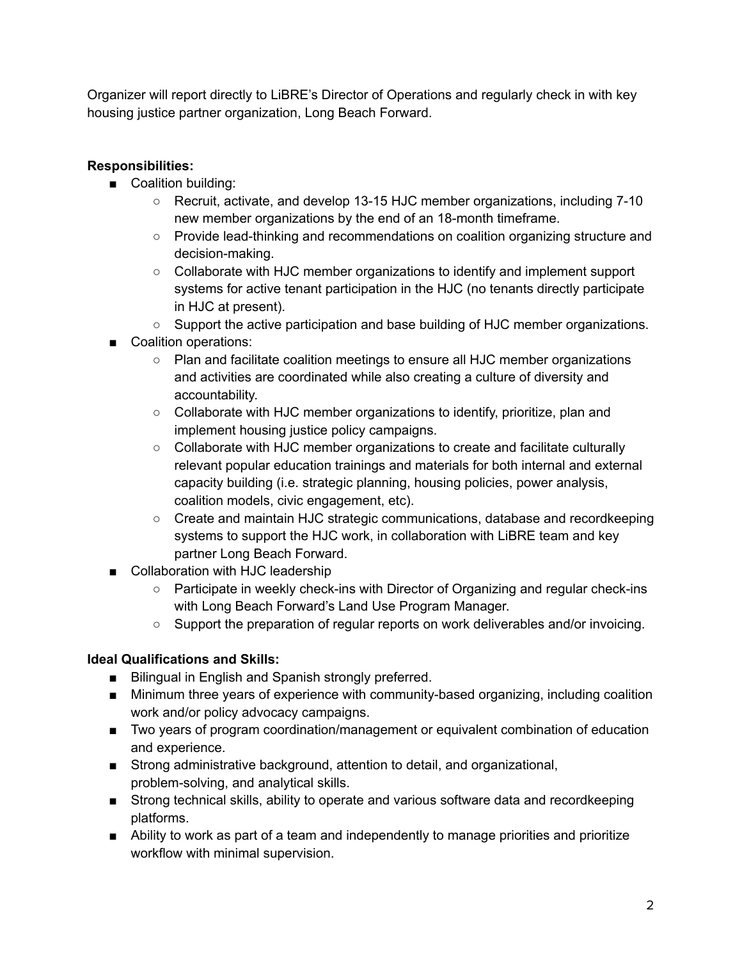Organizer will report directly to LiBRE's Director of Operations and regularly check in with key housing justice partner organization, Long Beach Forward.

# **Responsibilities:**

- Coalition building:
	- Recruit, activate, and develop 13-15 HJC member organizations, including 7-10 new member organizations by the end of an 18-month timeframe.
	- Provide lead-thinking and recommendations on coalition organizing structure and decision-making.
	- Collaborate with HJC member organizations to identify and implement support systems for active tenant participation in the HJC (no tenants directly participate in HJC at present).
	- Support the active participation and base building of HJC member organizations.
- Coalition operations:
	- Plan and facilitate coalition meetings to ensure all HJC member organizations and activities are coordinated while also creating a culture of diversity and accountability.
	- Collaborate with HJC member organizations to identify, prioritize, plan and implement housing justice policy campaigns.
	- Collaborate with HJC member organizations to create and facilitate culturally relevant popular education trainings and materials for both internal and external capacity building (i.e. strategic planning, housing policies, power analysis, coalition models, civic engagement, etc).
	- Create and maintain HJC strategic communications, database and recordkeeping systems to support the HJC work, in collaboration with LiBRE team and key partner Long Beach Forward.
- Collaboration with HJC leadership
	- Participate in weekly check-ins with Director of Organizing and regular check-ins with Long Beach Forward's Land Use Program Manager.
	- Support the preparation of regular reports on work deliverables and/or invoicing.

## **Ideal Qualifications and Skills:**

- Bilingual in English and Spanish strongly preferred.
- Minimum three years of experience with community-based organizing, including coalition work and/or policy advocacy campaigns.
- Two years of program coordination/management or equivalent combination of education and experience.
- Strong administrative background, attention to detail, and organizational, problem-solving, and analytical skills.
- Strong technical skills, ability to operate and various software data and recordkeeping platforms.
- Ability to work as part of a team and independently to manage priorities and prioritize workflow with minimal supervision.